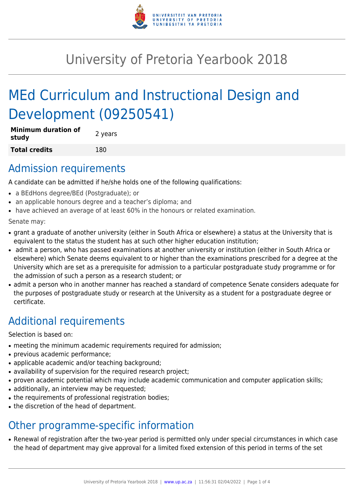

# University of Pretoria Yearbook 2018

# MEd Curriculum and Instructional Design and Development (09250541)

| <b>Minimum duration of</b><br>study | 2 years |
|-------------------------------------|---------|
| Total credits                       | 180     |

### Admission requirements

A candidate can be admitted if he/she holds one of the following qualifications:

- a BEdHons degree/BEd (Postgraduate); or
- an applicable honours degree and a teacher's diploma; and
- have achieved an average of at least 60% in the honours or related examination.

Senate may:

- grant a graduate of another university (either in South Africa or elsewhere) a status at the University that is equivalent to the status the student has at such other higher education institution;
- admit a person, who has passed examinations at another university or institution (either in South Africa or elsewhere) which Senate deems equivalent to or higher than the examinations prescribed for a degree at the University which are set as a prerequisite for admission to a particular postgraduate study programme or for the admission of such a person as a research student; or
- admit a person who in another manner has reached a standard of competence Senate considers adequate for the purposes of postgraduate study or research at the University as a student for a postgraduate degree or certificate.

# Additional requirements

Selection is based on:

- meeting the minimum academic requirements required for admission;
- previous academic performance;
- applicable academic and/or teaching background;
- availability of supervision for the required research project;
- proven academic potential which may include academic communication and computer application skills;
- additionally, an interview may be requested;
- the requirements of professional registration bodies;
- the discretion of the head of department.

# Other programme-specific information

• Renewal of registration after the two-year period is permitted only under special circumstances in which case the head of department may give approval for a limited fixed extension of this period in terms of the set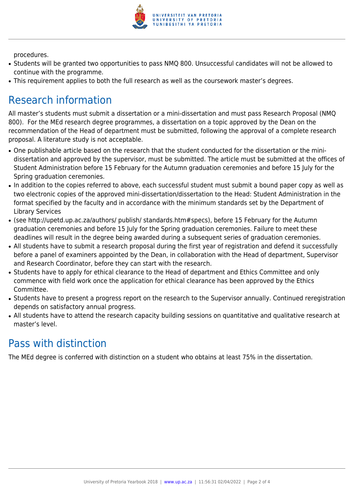

procedures.

- Students will be granted two opportunities to pass NMQ 800. Unsuccessful candidates will not be allowed to continue with the programme.
- This requirement applies to both the full research as well as the coursework master's degrees.

## Research information

All master's students must submit a dissertation or a mini-dissertation and must pass Research Proposal (NMQ 800). For the MEd research degree programmes, a dissertation on a topic approved by the Dean on the recommendation of the Head of department must be submitted, following the approval of a complete research proposal. A literature study is not acceptable.

- One publishable article based on the research that the student conducted for the dissertation or the minidissertation and approved by the supervisor, must be submitted. The article must be submitted at the offices of Student Administration before 15 February for the Autumn graduation ceremonies and before 15 July for the Spring graduation ceremonies.
- In addition to the copies referred to above, each successful student must submit a bound paper copy as well as two electronic copies of the approved mini-dissertation/dissertation to the Head: Student Administration in the format specified by the faculty and in accordance with the minimum standards set by the Department of Library Services
- (see http://upetd.up.ac.za/authors/ publish/ standards.htm#specs), before 15 February for the Autumn graduation ceremonies and before 15 July for the Spring graduation ceremonies. Failure to meet these deadlines will result in the degree being awarded during a subsequent series of graduation ceremonies.
- All students have to submit a research proposal during the first year of registration and defend it successfully before a panel of examiners appointed by the Dean, in collaboration with the Head of department, Supervisor and Research Coordinator, before they can start with the research.
- Students have to apply for ethical clearance to the Head of department and Ethics Committee and only commence with field work once the application for ethical clearance has been approved by the Ethics Committee.
- Students have to present a progress report on the research to the Supervisor annually. Continued reregistration depends on satisfactory annual progress.
- All students have to attend the research capacity building sessions on quantitative and qualitative research at master's level.

## Pass with distinction

The MEd degree is conferred with distinction on a student who obtains at least 75% in the dissertation.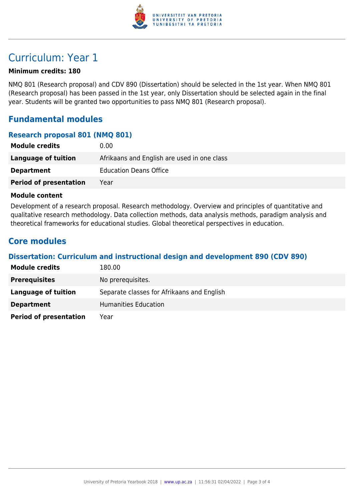

### Curriculum: Year 1

#### **Minimum credits: 180**

NMQ 801 (Research proposal) and CDV 890 (Dissertation) should be selected in the 1st year. When NMQ 801 (Research proposal) has been passed in the 1st year, only Dissertation should be selected again in the final year. Students will be granted two opportunities to pass NMQ 801 (Research proposal).

### **Fundamental modules**

#### **Research proposal 801 (NMQ 801)**

| <b>Module credits</b>         | 0.00                                        |
|-------------------------------|---------------------------------------------|
| Language of tuition           | Afrikaans and English are used in one class |
| <b>Department</b>             | <b>Education Deans Office</b>               |
| <b>Period of presentation</b> | Year                                        |

#### **Module content**

Development of a research proposal. Research methodology. Overview and principles of quantitative and qualitative research methodology. Data collection methods, data analysis methods, paradigm analysis and theoretical frameworks for educational studies. Global theoretical perspectives in education.

### **Core modules**

#### **Dissertation: Curriculum and instructional design and development 890 (CDV 890)**

| <b>Module credits</b>         | 180.00                                     |
|-------------------------------|--------------------------------------------|
| <b>Prerequisites</b>          | No prerequisites.                          |
| Language of tuition           | Separate classes for Afrikaans and English |
| <b>Department</b>             | Humanities Education                       |
| <b>Period of presentation</b> | Year                                       |